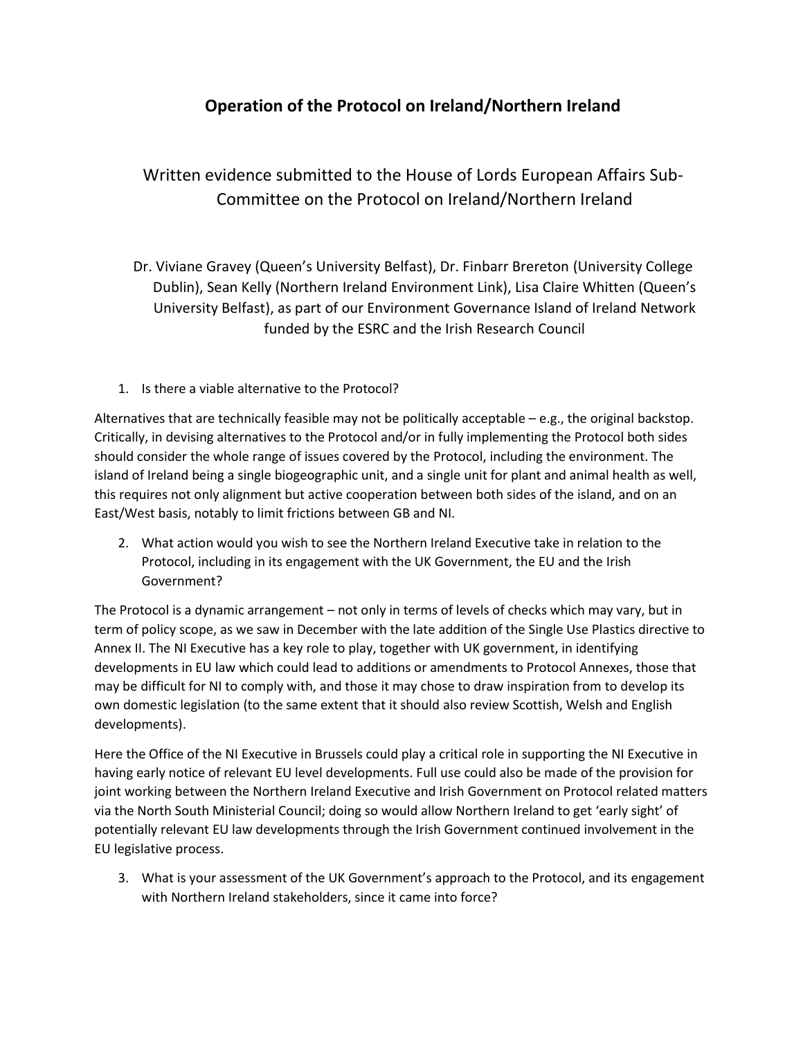## **Operation of the Protocol on Ireland/Northern Ireland**

Written evidence submitted to the House of Lords European Affairs Sub-Committee on the Protocol on Ireland/Northern Ireland

Dr. Viviane Gravey (Queen's University Belfast), Dr. Finbarr Brereton (University College Dublin), Sean Kelly (Northern Ireland Environment Link), Lisa Claire Whitten (Queen's University Belfast), as part of our Environment Governance Island of Ireland Network funded by the ESRC and the Irish Research Council

1. Is there a viable alternative to the Protocol?

Alternatives that are technically feasible may not be politically acceptable – e.g., the original backstop. Critically, in devising alternatives to the Protocol and/or in fully implementing the Protocol both sides should consider the whole range of issues covered by the Protocol, including the environment. The island of Ireland being a single biogeographic unit, and a single unit for plant and animal health as well, this requires not only alignment but active cooperation between both sides of the island, and on an East/West basis, notably to limit frictions between GB and NI.

2. What action would you wish to see the Northern Ireland Executive take in relation to the Protocol, including in its engagement with the UK Government, the EU and the Irish Government?

The Protocol is a dynamic arrangement – not only in terms of levels of checks which may vary, but in term of policy scope, as we saw in December with the late addition of the Single Use Plastics directive to Annex II. The NI Executive has a key role to play, together with UK government, in identifying developments in EU law which could lead to additions or amendments to Protocol Annexes, those that may be difficult for NI to comply with, and those it may chose to draw inspiration from to develop its own domestic legislation (to the same extent that it should also review Scottish, Welsh and English developments).

Here the Office of the NI Executive in Brussels could play a critical role in supporting the NI Executive in having early notice of relevant EU level developments. Full use could also be made of the provision for joint working between the Northern Ireland Executive and Irish Government on Protocol related matters via the North South Ministerial Council; doing so would allow Northern Ireland to get 'early sight' of potentially relevant EU law developments through the Irish Government continued involvement in the EU legislative process.

3. What is your assessment of the UK Government's approach to the Protocol, and its engagement with Northern Ireland stakeholders, since it came into force?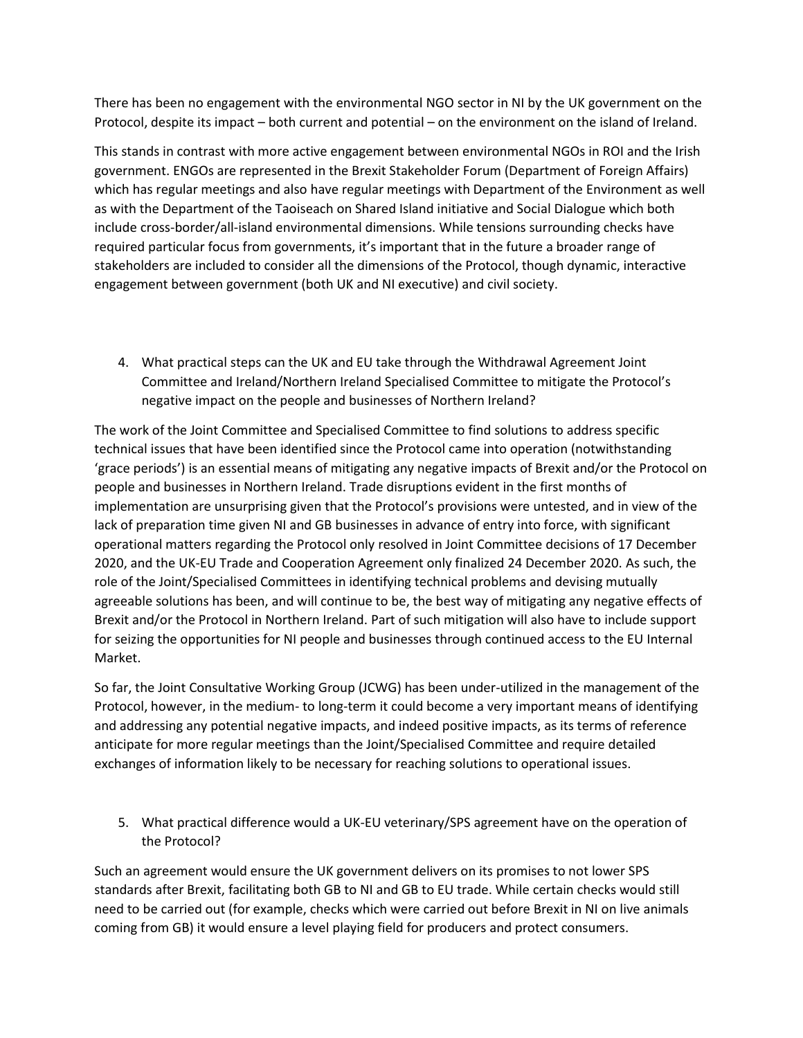There has been no engagement with the environmental NGO sector in NI by the UK government on the Protocol, despite its impact – both current and potential – on the environment on the island of Ireland.

This stands in contrast with more active engagement between environmental NGOs in ROI and the Irish government. ENGOs are represented in the Brexit Stakeholder Forum (Department of Foreign Affairs) which has regular meetings and also have regular meetings with Department of the Environment as well as with the Department of the Taoiseach on Shared Island initiative and Social Dialogue which both include cross-border/all-island environmental dimensions. While tensions surrounding checks have required particular focus from governments, it's important that in the future a broader range of stakeholders are included to consider all the dimensions of the Protocol, though dynamic, interactive engagement between government (both UK and NI executive) and civil society.

4. What practical steps can the UK and EU take through the Withdrawal Agreement Joint Committee and Ireland/Northern Ireland Specialised Committee to mitigate the Protocol's negative impact on the people and businesses of Northern Ireland?

The work of the Joint Committee and Specialised Committee to find solutions to address specific technical issues that have been identified since the Protocol came into operation (notwithstanding 'grace periods') is an essential means of mitigating any negative impacts of Brexit and/or the Protocol on people and businesses in Northern Ireland. Trade disruptions evident in the first months of implementation are unsurprising given that the Protocol's provisions were untested, and in view of the lack of preparation time given NI and GB businesses in advance of entry into force, with significant operational matters regarding the Protocol only resolved in Joint Committee decisions of 17 December 2020, and the UK-EU Trade and Cooperation Agreement only finalized 24 December 2020. As such, the role of the Joint/Specialised Committees in identifying technical problems and devising mutually agreeable solutions has been, and will continue to be, the best way of mitigating any negative effects of Brexit and/or the Protocol in Northern Ireland. Part of such mitigation will also have to include support for seizing the opportunities for NI people and businesses through continued access to the EU Internal Market.

So far, the Joint Consultative Working Group (JCWG) has been under-utilized in the management of the Protocol, however, in the medium- to long-term it could become a very important means of identifying and addressing any potential negative impacts, and indeed positive impacts, as its terms of reference anticipate for more regular meetings than the Joint/Specialised Committee and require detailed exchanges of information likely to be necessary for reaching solutions to operational issues.

5. What practical difference would a UK-EU veterinary/SPS agreement have on the operation of the Protocol?

Such an agreement would ensure the UK government delivers on its promises to not lower SPS standards after Brexit, facilitating both GB to NI and GB to EU trade. While certain checks would still need to be carried out (for example, checks which were carried out before Brexit in NI on live animals coming from GB) it would ensure a level playing field for producers and protect consumers.